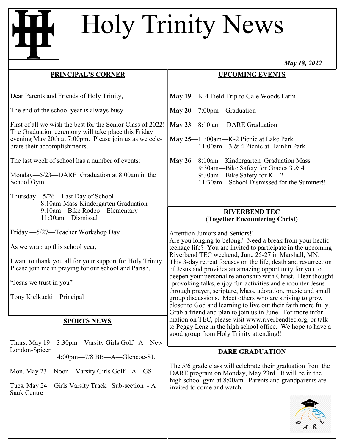# Holy Trinity News

#### **PRINCIPAL'S CORNER**

Dear Parents and Friends of Holy Trinity,

The end of the school year is always busy.

First of all we wish the best for the Senior Class of 2022! The Graduation ceremony will take place this Friday evening May 20th at 7:00pm. Please join us as we celebrate their accomplishments.

The last week of school has a number of events:

Monday—5/23—DARE Graduation at 8:00am in the School Gym.

Thursday—5/26—Last Day of School 8:10am-Mass-Kindergarten Graduation 9:10am—Bike Rodeo—Elementary 11:30am—Dismissal

Friday —5/27—Teacher Workshop Day

As we wrap up this school year,

I want to thank you all for your support for Holy Trinity. Please join me in praying for our school and Parish.

"Jesus we trust in you"

Tony Kielkucki—Principal

#### **SPORTS NEWS**

Thurs. May 19—3:30pm—Varsity Girls Golf –A—New London-Spicer 4:00pm—7/8 BB—A—Glencoe-SL

Mon. May 23—Noon—Varsity Girls Golf—A—GSL

Tues. May 24—Girls Varsity Track –Sub-section - A— Sauk Centre

### **UPCOMING EVENTS**

- **May 19**—K-4 Field Trip to Gale Woods Farm
- **May 20**—7:00pm—Graduation
- **May 23**—8:10 am—DARE Graduation
- **May 25**—11:00am—K-2 Picnic at Lake Park 11:00am—3 & 4 Picnic at Hainlin Park
- **May 26**—8:10am—Kindergarten Graduation Mass 9:30am—Bike Safety for Grades 3 & 4 9:30am—Bike Safety for K—2 11:30am—School Dismissed for the Summer!!

#### **RIVERBEND TEC** (**Together Encountering Christ)**

Attention Juniors and Seniors!!

Are you longing to belong? Need a break from your hectic teenage life? You are invited to participate in the upcoming Riverbend TEC weekend, June 25-27 in Marshall, MN. This 3-day retreat focuses on the life, death and resurrection of Jesus and provides an amazing opportunity for you to deepen your personal relationship with Christ. Hear thought -provoking talks, enjoy fun activities and encounter Jesus through prayer, scripture, Mass, adoration, music and small group discussions. Meet others who are striving to grow closer to God and learning to live out their faith more fully. Grab a friend and plan to join us in June. For more information on TEC, please visit www.riverbendtec.org, or talk to Peggy Lenz in the high school office. We hope to have a good group from Holy Trinity attending!!

## **DARE GRADUATION**

The 5/6 grade class will celebrate their graduation from the DARE program on Monday, May 23rd. It will be in the high school gym at 8:00am. Parents and grandparents are invited to come and watch.



*May 18, 2022*